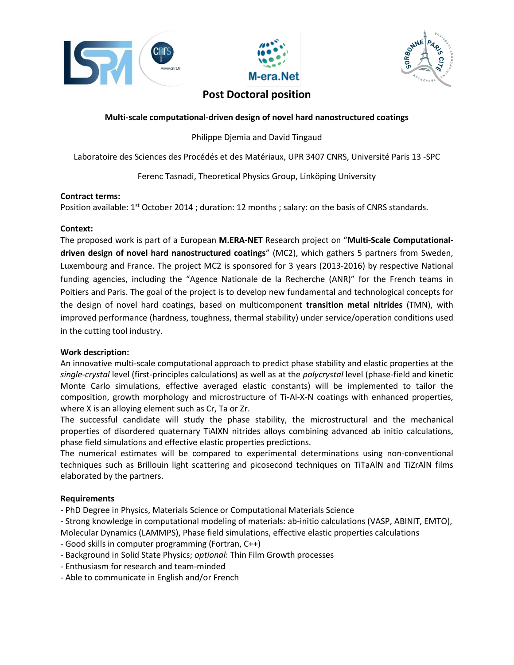





# **Post Doctoral position**

## **Multi-scale computational-driven design of novel hard nanostructured coatings**

Philippe Djemia and David Tingaud

Laboratoire des Sciences des Procédés et des Matériaux, UPR 3407 CNRS, Université Paris 13 -SPC

Ferenc Tasnadi, Theoretical Physics Group, Linköping University

## **Contract terms:**

Position available: 1<sup>st</sup> October 2014 ; duration: 12 months ; salary: on the basis of CNRS standards.

## **Context:**

The proposed work is part of a European **M.ERA-NET** Research project on "**Multi-Scale Computationaldriven design of novel hard nanostructured coatings**" (MC2), which gathers 5 partners from Sweden, Luxembourg and France. The project MC2 is sponsored for 3 years (2013-2016) by respective National funding agencies, including the "Agence Nationale de la Recherche (ANR)" for the French teams in Poitiers and Paris. The goal of the project is to develop new fundamental and technological concepts for the design of novel hard coatings, based on multicomponent **transition metal nitrides** (TMN), with improved performance (hardness, toughness, thermal stability) under service/operation conditions used in the cutting tool industry.

## **Work description:**

An innovative multi-scale computational approach to predict phase stability and elastic properties at the *single-crystal* level (first-principles calculations) as well as at the *polycrystal* level (phase-field and kinetic Monte Carlo simulations, effective averaged elastic constants) will be implemented to tailor the composition, growth morphology and microstructure of Ti-Al-X-N coatings with enhanced properties, where X is an alloying element such as Cr, Ta or Zr.

The successful candidate will study the phase stability, the microstructural and the mechanical properties of disordered quaternary TiAlXN nitrides alloys combining advanced ab initio calculations, phase field simulations and effective elastic properties predictions.

The numerical estimates will be compared to experimental determinations using non-conventional techniques such as Brillouin light scattering and picosecond techniques on TiTaAlN and TiZrAlN films elaborated by the partners.

## **Requirements**

- PhD Degree in Physics, Materials Science or Computational Materials Science
- Strong knowledge in computational modeling of materials: ab-initio calculations (VASP, ABINIT, EMTO),
- Molecular Dynamics (LAMMPS), Phase field simulations, effective elastic properties calculations
- Good skills in computer programming (Fortran, C++)
- Background in Solid State Physics; *optional*: Thin Film Growth processes
- Enthusiasm for research and team-minded
- Able to communicate in English and/or French